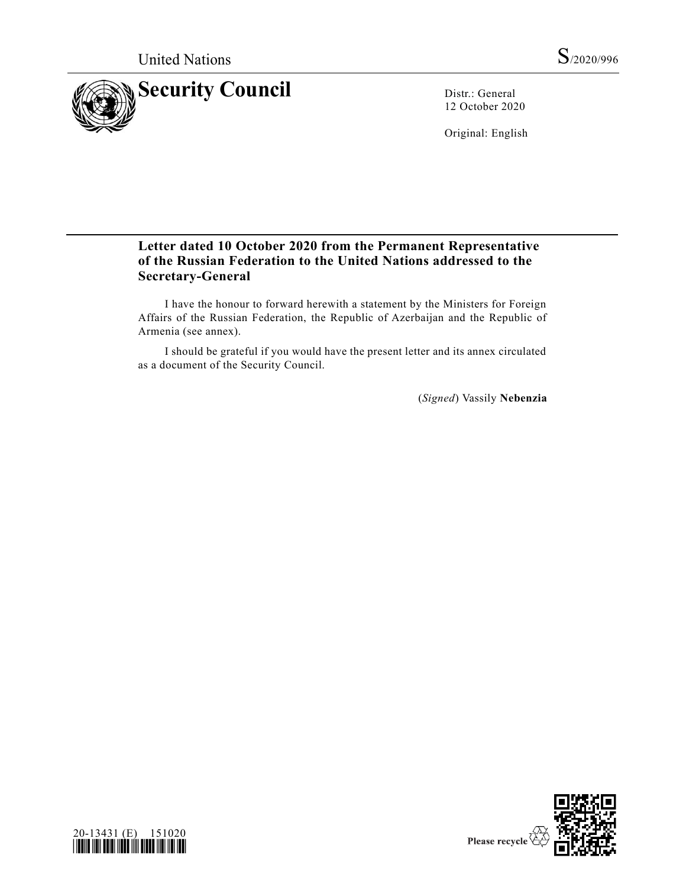

12 October 2020

Original: English

## **Letter dated 10 October 2020 from the Permanent Representative of the Russian Federation to the United Nations addressed to the Secretary-General**

I have the honour to forward herewith a statement by the Ministers for Foreign Affairs of the Russian Federation, the Republic of Azerbaijan and the Republic of Armenia (see annex).

I should be grateful if you would have the present letter and its annex circulated as a document of the Security Council.

(*Signed*) Vassily **Nebenzia**